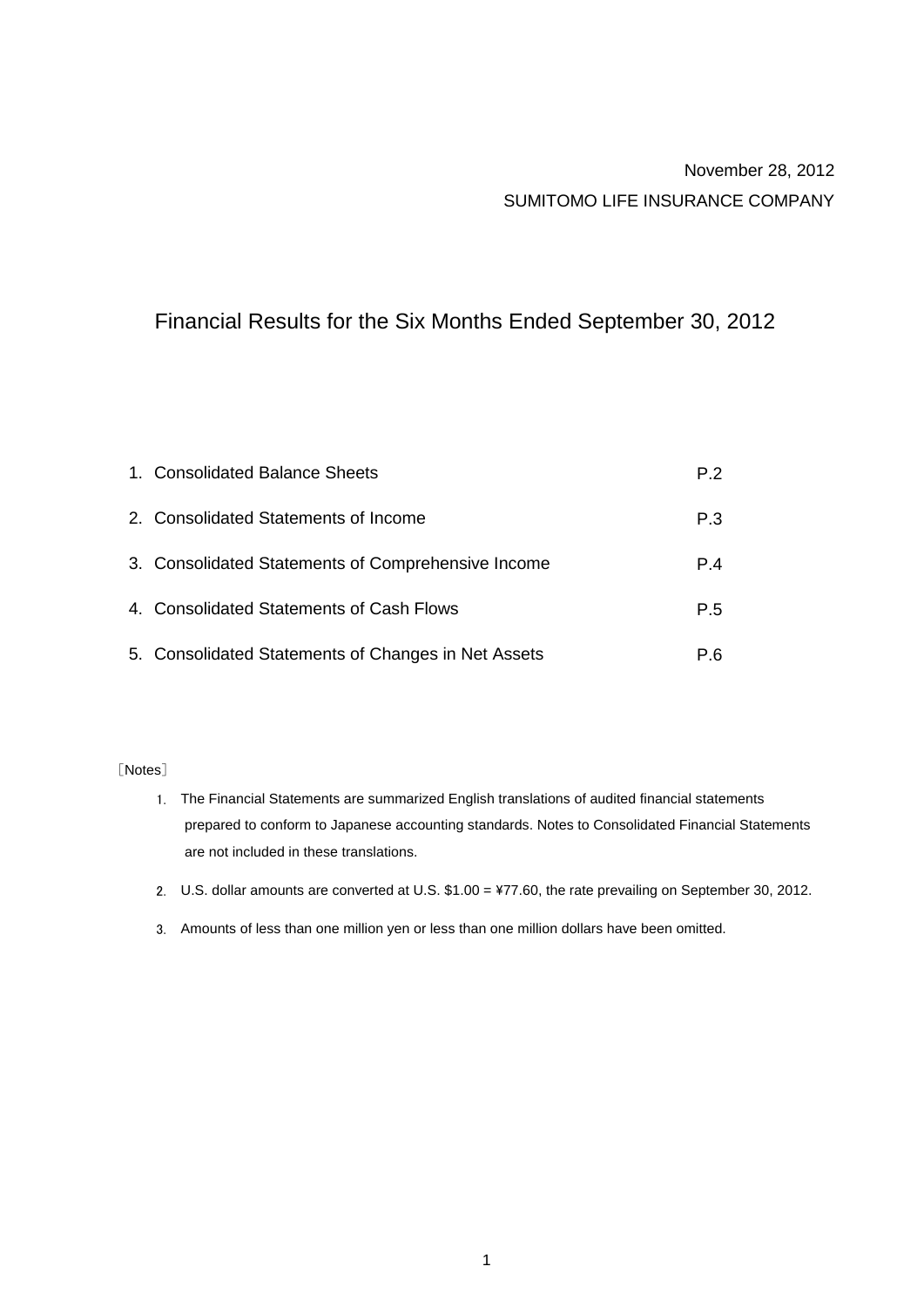# November 28, 2012 SUMITOMO LIFE INSURANCE COMPANY

# Financial Results for the Six Months Ended September 30, 2012

| 1. Consolidated Balance Sheets                      | P.2 |
|-----------------------------------------------------|-----|
| 2. Consolidated Statements of Income                | P.3 |
| 3. Consolidated Statements of Comprehensive Income  | P.4 |
| 4. Consolidated Statements of Cash Flows            | P.5 |
| 5. Consolidated Statements of Changes in Net Assets | P.6 |

#### [Notes]

- 1. The Financial Statements are summarized English translations of audited financial statements are not included in these translations. prepared to conform to Japanese accounting standards. Notes to Consolidated Financial Statements
- 2. U.S. dollar amounts are converted at U.S. \$1.00 = ¥77.60, the rate prevailing on September 30, 2012.
- 3. Amounts of less than one million yen or less than one million dollars have been omitted.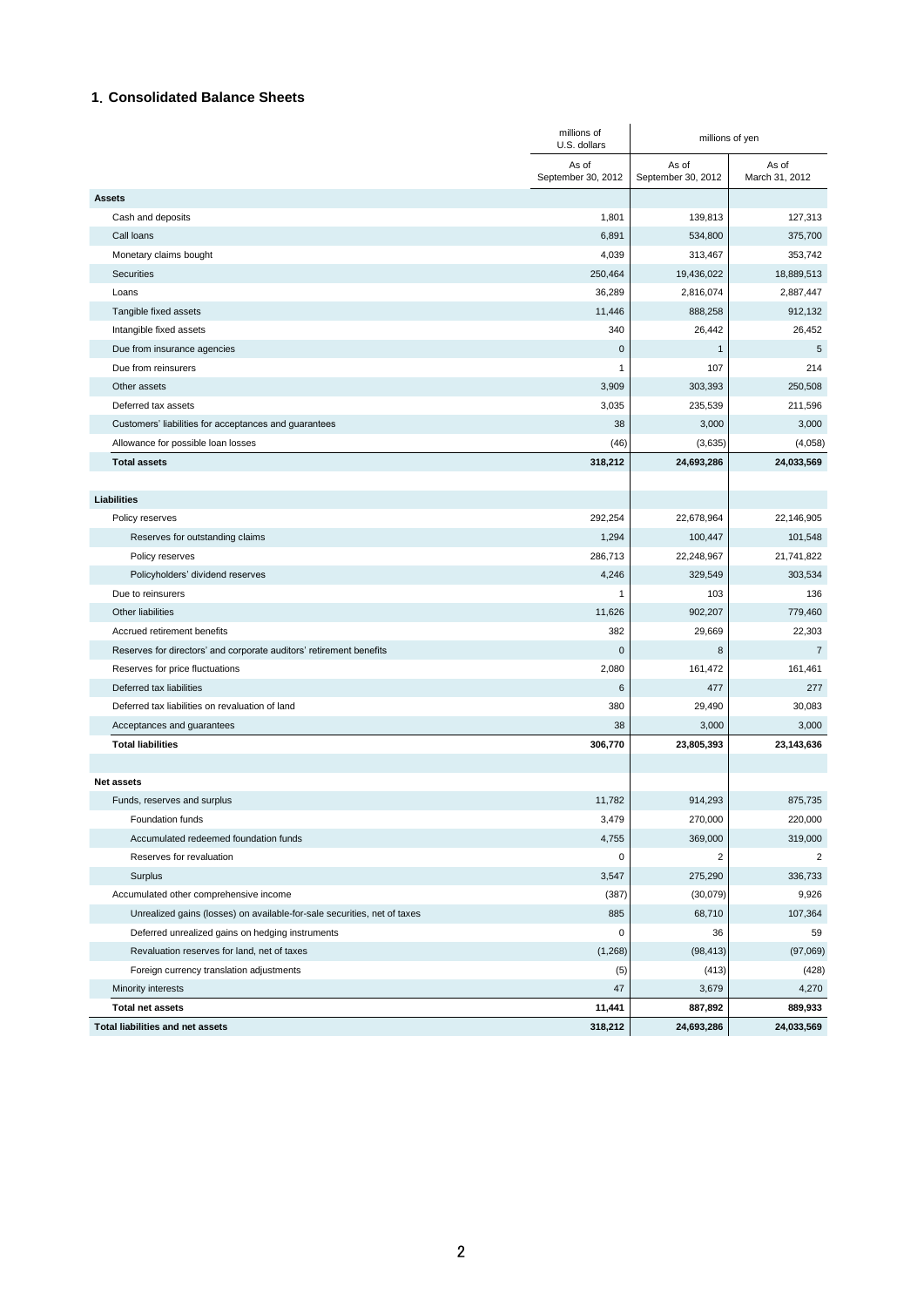#### **1**.**Consolidated Balance Sheets**

|                                                                          | millions of<br>U.S. dollars | millions of yen             |                         |
|--------------------------------------------------------------------------|-----------------------------|-----------------------------|-------------------------|
|                                                                          | As of<br>September 30, 2012 | As of<br>September 30, 2012 | As of<br>March 31, 2012 |
| <b>Assets</b>                                                            |                             |                             |                         |
| Cash and deposits                                                        | 1,801                       | 139,813                     | 127,313                 |
| Call loans                                                               | 6,891                       | 534,800                     | 375,700                 |
| Monetary claims bought                                                   | 4,039                       | 313,467                     | 353,742                 |
| Securities                                                               | 250,464                     | 19,436,022                  | 18,889,513              |
| Loans                                                                    | 36,289                      | 2,816,074                   | 2,887,447               |
| Tangible fixed assets                                                    | 11,446                      | 888,258                     | 912,132                 |
| Intangible fixed assets                                                  | 340                         | 26,442                      | 26,452                  |
| Due from insurance agencies                                              | $\mathbf 0$                 | $\mathbf{1}$                | 5                       |
| Due from reinsurers                                                      | 1                           | 107                         | 214                     |
| Other assets                                                             | 3,909                       | 303,393                     | 250,508                 |
| Deferred tax assets                                                      | 3,035                       | 235,539                     | 211,596                 |
| Customers' liabilities for acceptances and guarantees                    | 38                          | 3,000                       | 3,000                   |
| Allowance for possible loan losses                                       | (46)                        | (3,635)                     | (4,058)                 |
| <b>Total assets</b>                                                      | 318,212                     | 24,693,286                  | 24,033,569              |
|                                                                          |                             |                             |                         |
| <b>Liabilities</b>                                                       |                             |                             |                         |
| Policy reserves                                                          | 292,254                     | 22,678,964                  | 22,146,905              |
| Reserves for outstanding claims                                          | 1,294                       | 100,447                     | 101,548                 |
| Policy reserves                                                          | 286,713                     | 22,248,967                  | 21,741,822              |
| Policyholders' dividend reserves                                         | 4,246                       | 329,549                     | 303,534                 |
| Due to reinsurers                                                        | 1                           | 103                         | 136                     |
| Other liabilities                                                        | 11,626                      | 902,207                     | 779,460                 |
| Accrued retirement benefits                                              | 382                         | 29,669                      | 22,303                  |
| Reserves for directors' and corporate auditors' retirement benefits      | 0                           | 8                           | $\overline{7}$          |
| Reserves for price fluctuations                                          | 2,080                       | 161,472                     | 161,461                 |
| Deferred tax liabilities                                                 | 6                           | 477                         | 277                     |
| Deferred tax liabilities on revaluation of land                          | 380                         | 29,490                      | 30,083                  |
| Acceptances and guarantees                                               | 38                          | 3,000                       | 3,000                   |
| <b>Total liabilities</b>                                                 | 306,770                     | 23,805,393                  | 23,143,636              |
|                                                                          |                             |                             |                         |
| <b>Net assets</b>                                                        |                             |                             |                         |
| Funds, reserves and surplus                                              | 11,782                      | 914,293                     | 875,735                 |
| Foundation funds                                                         | 3,479                       | 270,000                     | 220,000                 |
| Accumulated redeemed foundation funds                                    | 4,755                       | 369,000                     | 319,000                 |
| Reserves for revaluation                                                 | 0                           | $\overline{\mathbf{c}}$     | 2                       |
| Surplus                                                                  | 3,547                       | 275,290                     | 336,733                 |
| Accumulated other comprehensive income                                   | (387)                       | (30,079)                    | 9,926                   |
| Unrealized gains (losses) on available-for-sale securities, net of taxes | 885                         | 68,710                      | 107,364                 |
| Deferred unrealized gains on hedging instruments                         | 0                           | 36                          | 59                      |
| Revaluation reserves for land, net of taxes                              | (1,268)                     | (98, 413)                   | (97,069)                |
| Foreign currency translation adjustments                                 | (5)                         | (413)                       | (428)                   |
| Minority interests                                                       | 47                          | 3,679                       | 4,270                   |
| <b>Total net assets</b>                                                  | 11,441                      | 887,892                     | 889,933                 |
| Total liabilities and net assets                                         | 318,212                     | 24,693,286                  | 24,033,569              |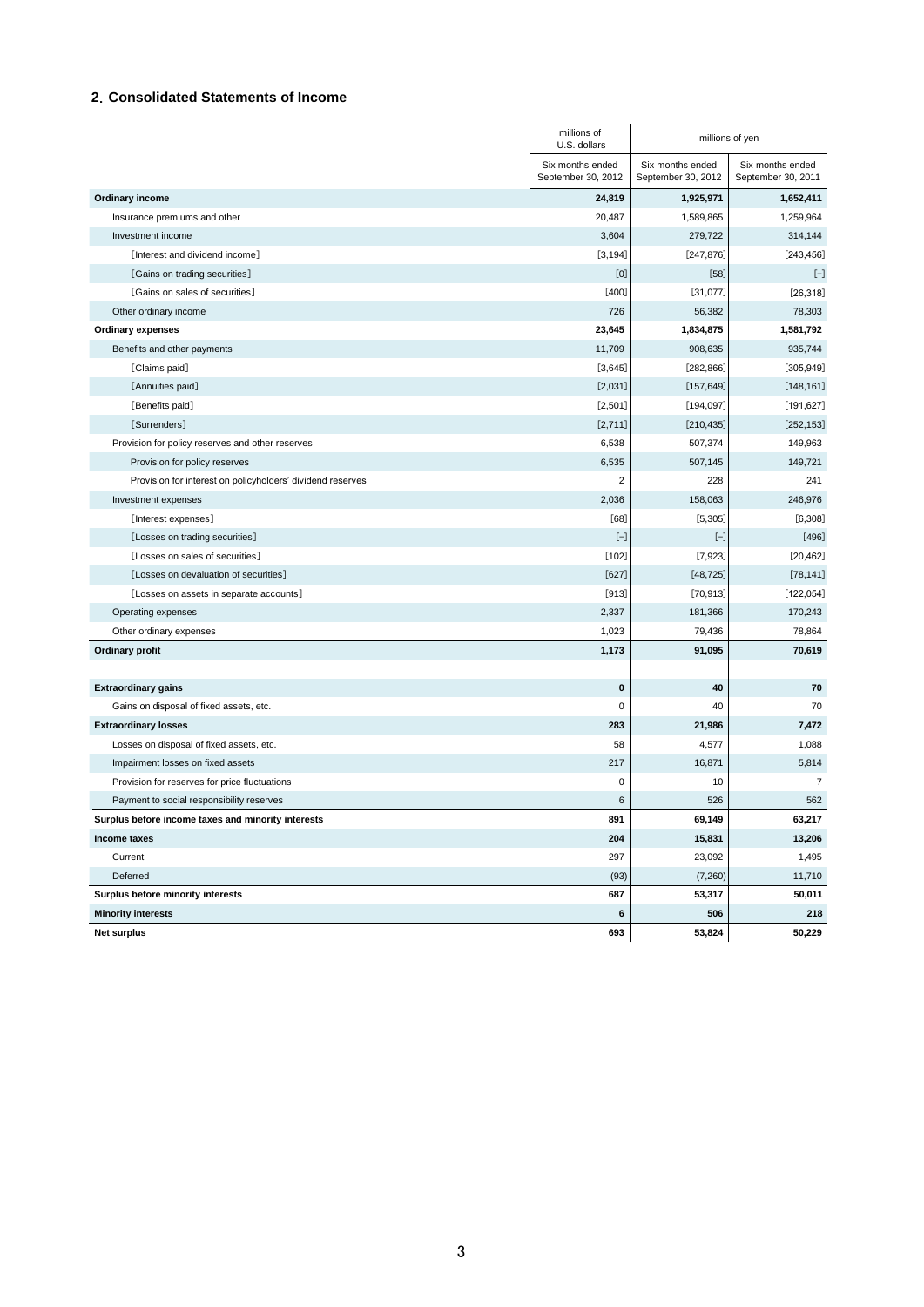#### **2**.**Consolidated Statements of Income**

|                                                            | millions of<br>U.S. dollars            |                                        | millions of yen                        |
|------------------------------------------------------------|----------------------------------------|----------------------------------------|----------------------------------------|
|                                                            | Six months ended<br>September 30, 2012 | Six months ended<br>September 30, 2012 | Six months ended<br>September 30, 2011 |
| Ordinary income                                            | 24,819                                 | 1,925,971                              | 1,652,411                              |
| Insurance premiums and other                               | 20,487                                 | 1,589,865                              | 1,259,964                              |
| Investment income                                          | 3,604                                  | 279,722                                | 314,144                                |
| [Interest and dividend income]                             | [3, 194]                               | [247, 876]                             | [243, 456]                             |
| [Gains on trading securities]                              | [0]                                    | $[58]$                                 | $[-]$                                  |
| [Gains on sales of securities]                             | $[400]$                                | [31,077]                               | [26, 318]                              |
| Other ordinary income                                      | 726                                    | 56,382                                 | 78,303                                 |
| <b>Ordinary expenses</b>                                   | 23,645                                 | 1,834,875                              | 1,581,792                              |
| Benefits and other payments                                | 11,709                                 | 908,635                                | 935,744                                |
| [Claims paid]                                              | [3,645]                                | [282, 866]                             | [305, 949]                             |
| [Annuities paid]                                           | [2,031]                                | [157, 649]                             | [148, 161]                             |
| [Benefits paid]                                            | [2,501]                                | [194, 097]                             | [191, 627]                             |
| [Surrenders]                                               | [2,711]                                | [210, 435]                             | [252, 153]                             |
| Provision for policy reserves and other reserves           | 6,538                                  | 507,374                                | 149,963                                |
| Provision for policy reserves                              | 6,535                                  | 507,145                                | 149,721                                |
| Provision for interest on policyholders' dividend reserves | $\overline{2}$                         | 228                                    | 241                                    |
| Investment expenses                                        | 2,036                                  | 158,063                                | 246,976                                |
| [Interest expenses]                                        | [68]                                   | [5, 305]                               | [6, 308]                               |
| [Losses on trading securities]                             | $[-]$                                  | $[-]$                                  | $[496]$                                |
| [Losses on sales of securities]                            | $[102]$                                | [7, 923]                               | [20, 462]                              |
| [Losses on devaluation of securities]                      | $[627]$                                | [48, 725]                              | [78, 141]                              |
| [Losses on assets in separate accounts]                    | $[913]$                                | [70, 913]                              | [122, 054]                             |
| Operating expenses                                         | 2,337                                  | 181,366                                | 170,243                                |
| Other ordinary expenses                                    | 1,023                                  | 79,436                                 | 78,864                                 |
| <b>Ordinary profit</b>                                     | 1,173                                  | 91,095                                 | 70,619                                 |
|                                                            |                                        |                                        |                                        |
| <b>Extraordinary gains</b>                                 | $\bf{0}$                               | 40                                     | 70                                     |
| Gains on disposal of fixed assets, etc.                    | $\mathbf 0$                            | 40                                     | 70                                     |
| <b>Extraordinary losses</b>                                | 283                                    | 21,986                                 | 7,472                                  |
| Losses on disposal of fixed assets, etc.                   | 58                                     | 4,577                                  | 1,088                                  |
| Impairment losses on fixed assets                          | 217                                    | 16,871                                 | 5,814                                  |
| Provision for reserves for price fluctuations              | 0                                      | 10                                     | $\overline{7}$                         |
| Payment to social responsibility reserves                  | 6                                      | 526                                    | 562                                    |
| Surplus before income taxes and minority interests         | 891                                    | 69,149                                 | 63,217                                 |
| Income taxes                                               | 204                                    | 15,831                                 | 13,206                                 |
| Current                                                    | 297                                    | 23,092                                 | 1,495                                  |
| Deferred                                                   | (93)                                   | (7,260)                                | 11,710                                 |
| Surplus before minority interests                          | 687                                    | 53,317                                 | 50,011                                 |
| <b>Minority interests</b>                                  | 6                                      | 506                                    | 218                                    |
| <b>Net surplus</b>                                         | 693                                    | 53,824                                 | 50,229                                 |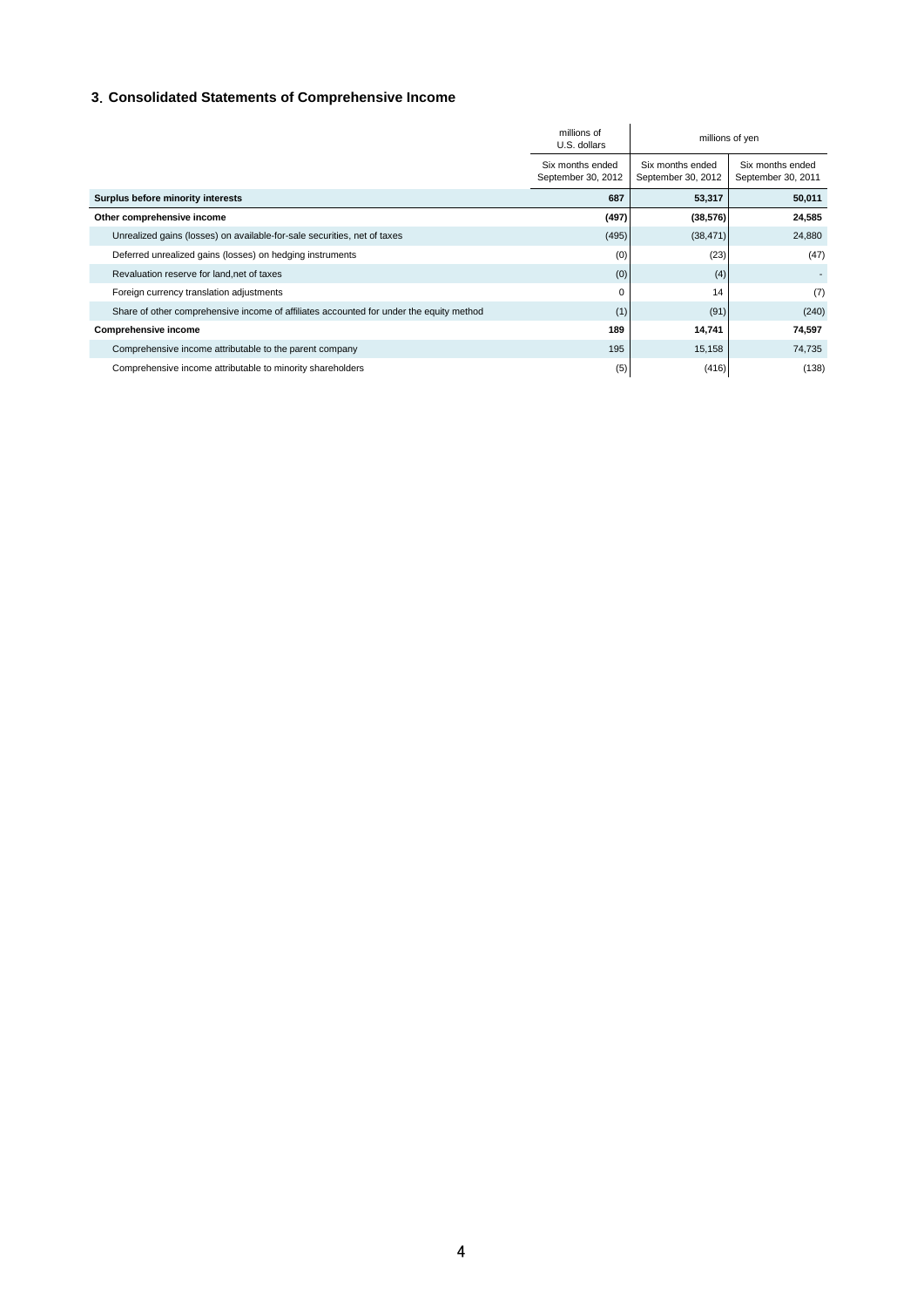## **3**.**Consolidated Statements of Comprehensive Income**

|                                                                                         | millions of<br>U.S. dollars            |                                        | millions of yen                        |
|-----------------------------------------------------------------------------------------|----------------------------------------|----------------------------------------|----------------------------------------|
|                                                                                         | Six months ended<br>September 30, 2012 | Six months ended<br>September 30, 2012 | Six months ended<br>September 30, 2011 |
| Surplus before minority interests                                                       | 687                                    | 53,317                                 | 50,011                                 |
| Other comprehensive income                                                              | (497)                                  | (38, 576)                              | 24,585                                 |
| Unrealized gains (losses) on available-for-sale securities, net of taxes                | (495)                                  | (38, 471)                              | 24,880                                 |
| Deferred unrealized gains (losses) on hedging instruments                               | (0)                                    | (23)                                   | (47)                                   |
| Revaluation reserve for land, net of taxes                                              | (0)                                    | (4)                                    |                                        |
| Foreign currency translation adjustments                                                | 0                                      | 14                                     | (7)                                    |
| Share of other comprehensive income of affiliates accounted for under the equity method | (1)                                    | (91)                                   | (240)                                  |
| Comprehensive income                                                                    | 189                                    | 14,741                                 | 74,597                                 |
| Comprehensive income attributable to the parent company                                 | 195                                    | 15,158                                 | 74,735                                 |
| Comprehensive income attributable to minority shareholders                              | (5)                                    | (416)                                  | (138)                                  |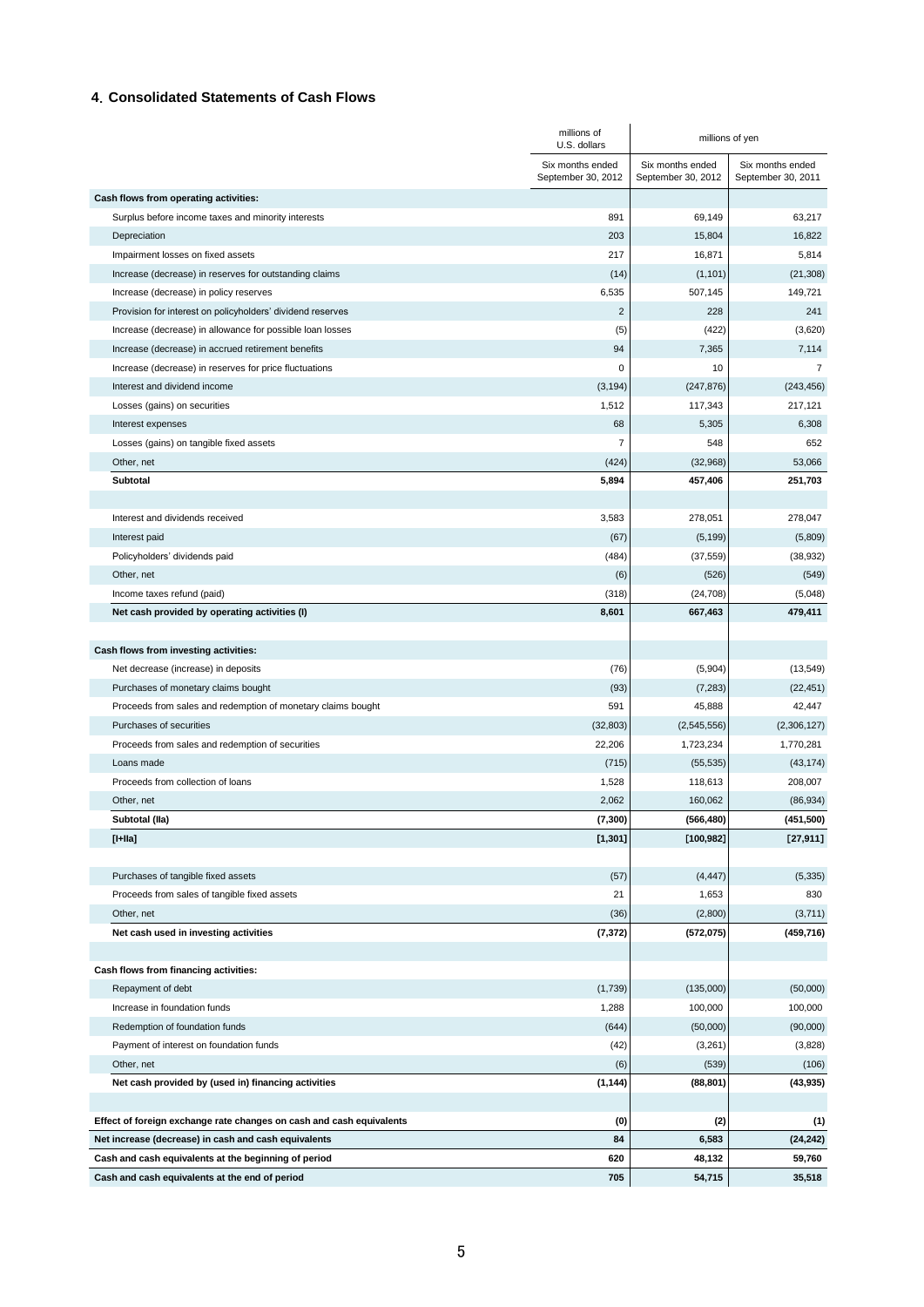#### **4**.**Consolidated Statements of Cash Flows**

|                                                                           | millions of<br>U.S. dollars            |                                        | millions of yen                        |
|---------------------------------------------------------------------------|----------------------------------------|----------------------------------------|----------------------------------------|
|                                                                           | Six months ended<br>September 30, 2012 | Six months ended<br>September 30, 2012 | Six months ended<br>September 30, 2011 |
| Cash flows from operating activities:                                     |                                        |                                        |                                        |
| Surplus before income taxes and minority interests                        | 891                                    | 69,149                                 | 63,217                                 |
| Depreciation                                                              | 203                                    | 15,804                                 | 16,822                                 |
| Impairment losses on fixed assets                                         | 217                                    | 16,871                                 | 5,814                                  |
| Increase (decrease) in reserves for outstanding claims                    | (14)                                   | (1, 101)                               | (21, 308)                              |
| Increase (decrease) in policy reserves                                    | 6,535                                  | 507,145                                | 149,721                                |
| Provision for interest on policyholders' dividend reserves                | $\overline{c}$                         | 228                                    | 241                                    |
| Increase (decrease) in allowance for possible loan losses                 | (5)                                    | (422)                                  | (3,620)                                |
| Increase (decrease) in accrued retirement benefits                        | 94                                     | 7,365                                  | 7,114                                  |
| Increase (decrease) in reserves for price fluctuations                    | 0                                      | 10                                     | $\overline{7}$                         |
| Interest and dividend income                                              | (3, 194)                               | (247, 876)                             | (243, 456)                             |
| Losses (gains) on securities                                              | 1,512                                  | 117,343                                | 217,121                                |
| Interest expenses                                                         | 68                                     | 5,305                                  | 6,308                                  |
| Losses (gains) on tangible fixed assets                                   | 7                                      | 548                                    | 652                                    |
| Other, net                                                                | (424)                                  | (32,968)                               | 53,066                                 |
| Subtotal                                                                  | 5,894                                  | 457,406                                | 251,703                                |
|                                                                           |                                        |                                        |                                        |
| Interest and dividends received                                           | 3,583                                  | 278,051                                | 278,047                                |
| Interest paid                                                             | (67)                                   | (5, 199)                               | (5,809)                                |
| Policyholders' dividends paid                                             | (484)                                  | (37, 559)                              | (38, 932)                              |
| Other, net                                                                | (6)                                    | (526)                                  | (549)                                  |
| Income taxes refund (paid)                                                | (318)                                  | (24, 708)                              | (5,048)                                |
| Net cash provided by operating activities (I)                             | 8,601                                  | 667,463                                | 479,411                                |
|                                                                           |                                        |                                        |                                        |
| Cash flows from investing activities:                                     |                                        |                                        |                                        |
| Net decrease (increase) in deposits                                       | (76)                                   | (5,904)                                | (13,549)                               |
| Purchases of monetary claims bought                                       | (93)                                   | (7, 283)                               | (22, 451)                              |
| Proceeds from sales and redemption of monetary claims bought              | 591                                    | 45,888                                 | 42,447                                 |
| Purchases of securities                                                   | (32, 803)                              | (2,545,556)                            | (2,306,127)                            |
| Proceeds from sales and redemption of securities                          | 22,206                                 | 1,723,234                              | 1,770,281                              |
| Loans made                                                                | (715)                                  | (55, 535)                              | (43, 174)                              |
| Proceeds from collection of loans                                         | 1,528                                  | 118,613                                | 208,007                                |
| Other, net                                                                | 2,062                                  | 160,062                                | (86, 934)                              |
| Subtotal (Ila)                                                            | (7, 300)                               | (566, 480)                             | (451, 500)                             |
| $[I+IIa]$                                                                 | [1,301]                                | [100, 982]                             | [27,911]                               |
|                                                                           |                                        |                                        |                                        |
| Purchases of tangible fixed assets                                        | (57)                                   | (4, 447)                               | (5, 335)                               |
| Proceeds from sales of tangible fixed assets                              | 21                                     | 1,653                                  | 830                                    |
| Other, net                                                                | (36)                                   | (2,800)                                | (3,711)                                |
| Net cash used in investing activities                                     | (7, 372)                               | (572, 075)                             | (459, 716)                             |
| Cash flows from financing activities:                                     |                                        |                                        |                                        |
| Repayment of debt                                                         |                                        | (135,000)                              | (50,000)                               |
| Increase in foundation funds                                              | (1,739)<br>1,288                       | 100,000                                | 100,000                                |
|                                                                           |                                        |                                        |                                        |
| Redemption of foundation funds<br>Payment of interest on foundation funds | (644)<br>(42)                          | (50,000)<br>(3,261)                    | (90,000)<br>(3,828)                    |
| Other, net                                                                | (6)                                    | (539)                                  |                                        |
| Net cash provided by (used in) financing activities                       |                                        | (88, 801)                              | (106)<br>(43, 935)                     |
|                                                                           | (1, 144)                               |                                        |                                        |
| Effect of foreign exchange rate changes on cash and cash equivalents      | (0)                                    | (2)                                    | (1)                                    |
| Net increase (decrease) in cash and cash equivalents                      | 84                                     | 6,583                                  | (24, 242)                              |
| Cash and cash equivalents at the beginning of period                      | 620                                    | 48,132                                 | 59,760                                 |
| Cash and cash equivalents at the end of period                            | 705                                    | 54,715                                 | 35,518                                 |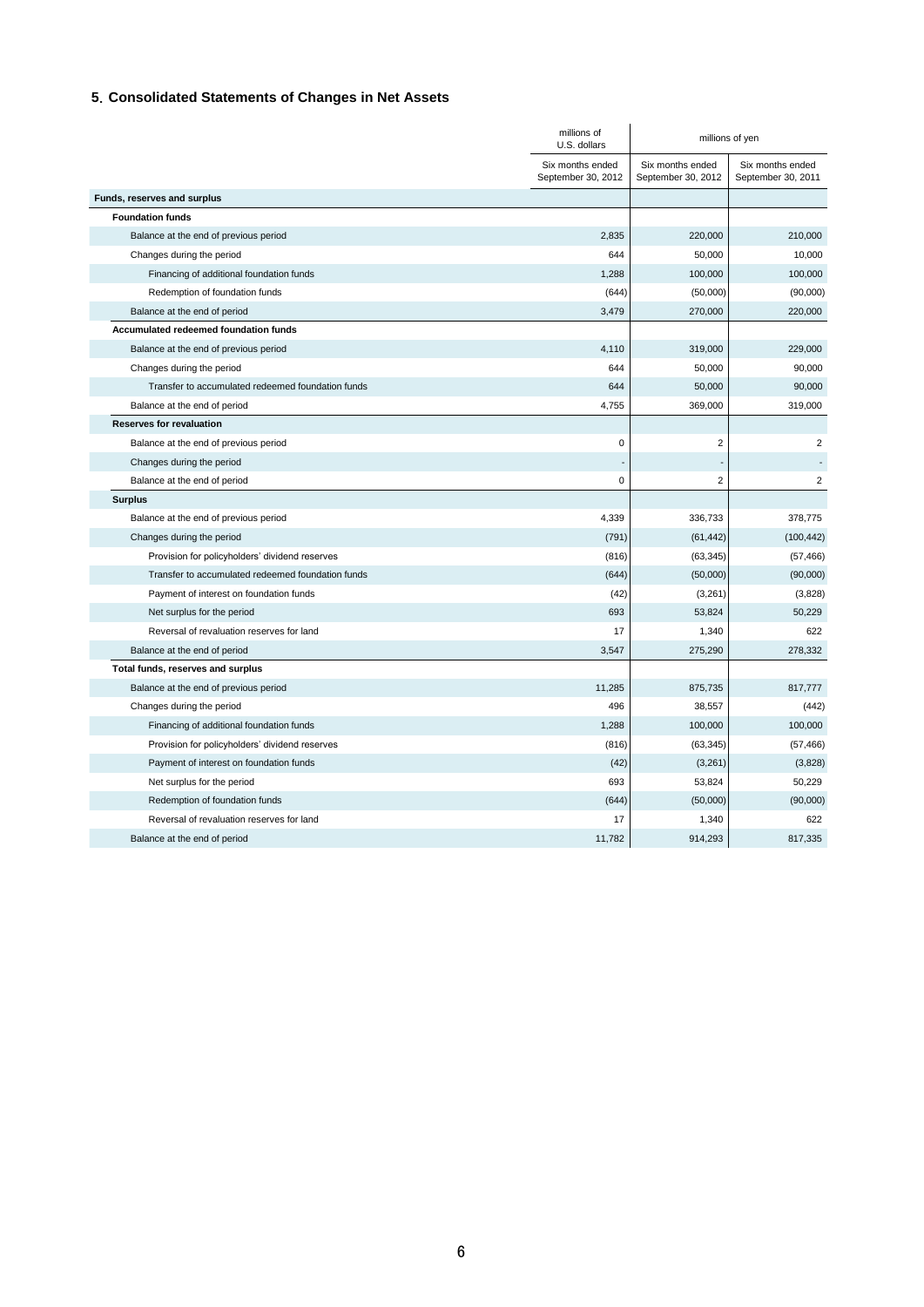## **5**.**Consolidated Statements of Changes in Net Assets**

|                                                   | millions of<br>U.S. dollars            |                                        | millions of yen                        |
|---------------------------------------------------|----------------------------------------|----------------------------------------|----------------------------------------|
|                                                   | Six months ended<br>September 30, 2012 | Six months ended<br>September 30, 2012 | Six months ended<br>September 30, 2011 |
| Funds, reserves and surplus                       |                                        |                                        |                                        |
| <b>Foundation funds</b>                           |                                        |                                        |                                        |
| Balance at the end of previous period             | 2,835                                  | 220,000                                | 210,000                                |
| Changes during the period                         | 644                                    | 50,000                                 | 10,000                                 |
| Financing of additional foundation funds          | 1,288                                  | 100,000                                | 100,000                                |
| Redemption of foundation funds                    | (644)                                  | (50,000)                               | (90,000)                               |
| Balance at the end of period                      | 3,479                                  | 270,000                                | 220,000                                |
| Accumulated redeemed foundation funds             |                                        |                                        |                                        |
| Balance at the end of previous period             | 4,110                                  | 319,000                                | 229,000                                |
| Changes during the period                         | 644                                    | 50,000                                 | 90,000                                 |
| Transfer to accumulated redeemed foundation funds | 644                                    | 50,000                                 | 90,000                                 |
| Balance at the end of period                      | 4,755                                  | 369,000                                | 319,000                                |
| <b>Reserves for revaluation</b>                   |                                        |                                        |                                        |
| Balance at the end of previous period             | 0                                      | $\overline{2}$                         | $\overline{2}$                         |
| Changes during the period                         |                                        |                                        |                                        |
| Balance at the end of period                      | 0                                      | $\overline{2}$                         | $\overline{2}$                         |
| <b>Surplus</b>                                    |                                        |                                        |                                        |
| Balance at the end of previous period             | 4,339                                  | 336,733                                | 378,775                                |
| Changes during the period                         | (791)                                  | (61, 442)                              | (100, 442)                             |
| Provision for policyholders' dividend reserves    | (816)                                  | (63, 345)                              | (57, 466)                              |
| Transfer to accumulated redeemed foundation funds | (644)                                  | (50,000)                               | (90,000)                               |
| Payment of interest on foundation funds           | (42)                                   | (3,261)                                | (3,828)                                |
| Net surplus for the period                        | 693                                    | 53,824                                 | 50,229                                 |
| Reversal of revaluation reserves for land         | 17                                     | 1,340                                  | 622                                    |
| Balance at the end of period                      | 3,547                                  | 275,290                                | 278,332                                |
| Total funds, reserves and surplus                 |                                        |                                        |                                        |
| Balance at the end of previous period             | 11,285                                 | 875,735                                | 817,777                                |
| Changes during the period                         | 496                                    | 38,557                                 | (442)                                  |
| Financing of additional foundation funds          | 1,288                                  | 100,000                                | 100,000                                |
| Provision for policyholders' dividend reserves    | (816)                                  | (63, 345)                              | (57, 466)                              |
| Payment of interest on foundation funds           | (42)                                   | (3,261)                                | (3,828)                                |
| Net surplus for the period                        | 693                                    | 53,824                                 | 50,229                                 |
| Redemption of foundation funds                    | (644)                                  | (50,000)                               | (90,000)                               |
| Reversal of revaluation reserves for land         | 17                                     | 1,340                                  | 622                                    |
| Balance at the end of period                      | 11,782                                 | 914,293                                | 817,335                                |